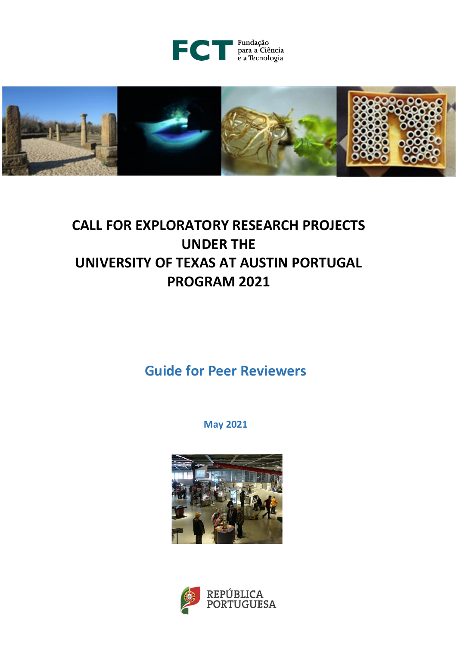



# **CALL FOR EXPLORATORY RESEARCH PROJECTS UNDER THE UNIVERSITY OF TEXAS AT AUSTIN PORTUGAL PROGRAM 2021**

**Guide for Peer Reviewers**

**May 2021**



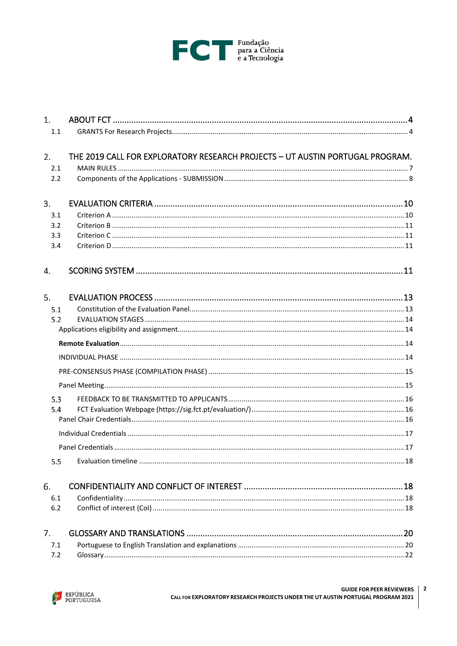

| 1 <sup>1</sup><br>1.1 |                                                                               |  |  |  |
|-----------------------|-------------------------------------------------------------------------------|--|--|--|
| 2.<br>2.1<br>2.2      | THE 2019 CALL FOR EXPLORATORY RESEARCH PROJECTS - UT AUSTIN PORTUGAL PROGRAM. |  |  |  |
| 3.                    |                                                                               |  |  |  |
| 3.1                   |                                                                               |  |  |  |
| 3.2                   |                                                                               |  |  |  |
| 3.3<br>3.4            |                                                                               |  |  |  |
| 4.                    |                                                                               |  |  |  |
| 5.                    |                                                                               |  |  |  |
| 5.1                   |                                                                               |  |  |  |
| 5.2                   |                                                                               |  |  |  |
|                       |                                                                               |  |  |  |
|                       |                                                                               |  |  |  |
|                       |                                                                               |  |  |  |
|                       |                                                                               |  |  |  |
|                       |                                                                               |  |  |  |
| 5.3                   |                                                                               |  |  |  |
| 5.4                   |                                                                               |  |  |  |
|                       |                                                                               |  |  |  |
|                       |                                                                               |  |  |  |
|                       |                                                                               |  |  |  |
| 5.5                   |                                                                               |  |  |  |
| 6.                    |                                                                               |  |  |  |
| 6.1                   |                                                                               |  |  |  |
| 6.2                   |                                                                               |  |  |  |
| 7.                    |                                                                               |  |  |  |
| 7.1                   |                                                                               |  |  |  |
| 7.2                   |                                                                               |  |  |  |

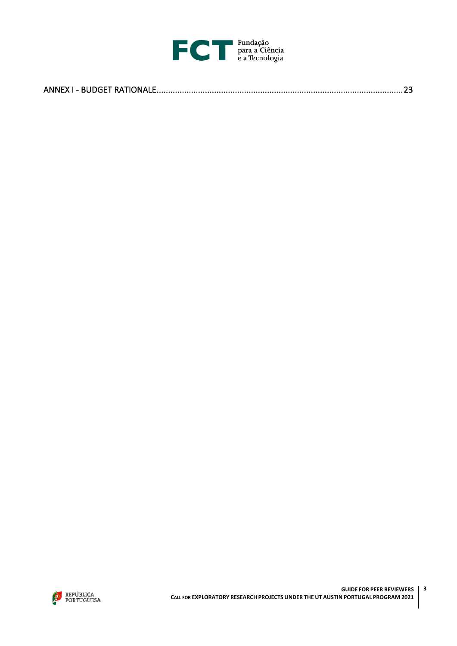

|--|

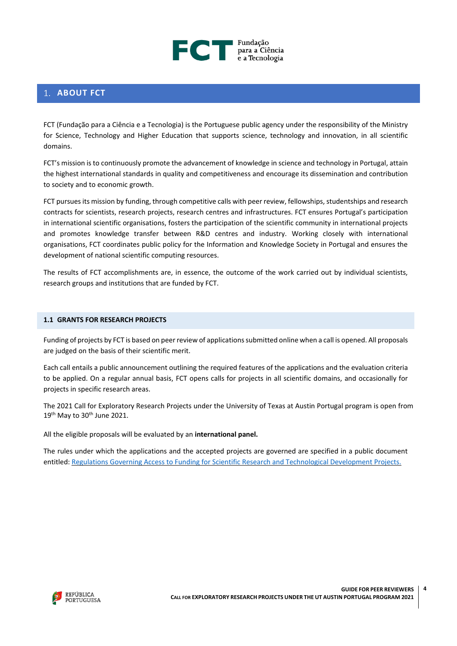

# <span id="page-3-0"></span>**1. ABOUT FCT**

FCT (Fundação para a Ciência e a Tecnologia) is the Portuguese public agency under the responsibility of the Ministry for Science, Technology and Higher Education that supports science, technology and innovation, in all scientific domains.

FCT's mission is to continuously promote the advancement of knowledge in science and technology in Portugal, attain the highest international standards in quality and competitiveness and encourage its dissemination and contribution to society and to economic growth.

FCT pursues its mission by funding, through competitive calls with peer review, fellowships, studentships and research contracts for scientists, research projects, research centres and infrastructures. FCT ensures Portugal's participation in international scientific organisations, fosters the participation of the scientific community in international projects and promotes knowledge transfer between R&D centres and industry. Working closely with international organisations, FCT coordinates public policy for the Information and Knowledge Society in Portugal and ensures the development of national scientific computing resources.

The results of FCT accomplishments are, in essence, the outcome of the work carried out by individual scientists, research groups and institutions that are funded by FCT.

#### <span id="page-3-1"></span>**1.1 GRANTS FOR RESEARCH PROJECTS**

Funding of projects by FCT is based on peer review of applications submitted online when a call is opened. All proposals are judged on the basis of their scientific merit.

Each call entails a public announcement outlining the required features of the applications and the evaluation criteria to be applied. On a regular annual basis, FCT opens calls for projects in all scientific domains, and occasionally for projects in specific research areas.

The 2021 Call for Exploratory Research Projects under the University of Texas at Austin Portugal program is open from 19<sup>th</sup> May to 30<sup>th</sup> June 2021.

All the eligible proposals will be evaluated by an **international panel.**

The rules under which the applications and the accepted projects are governed are specified in a public document entitled[: Regulations Governing Access to Funding for Scientific Research and Technological Development Projects.](http://www.fct.pt/apoios/projectos/regulamentofundosnacionais.phtml.en)

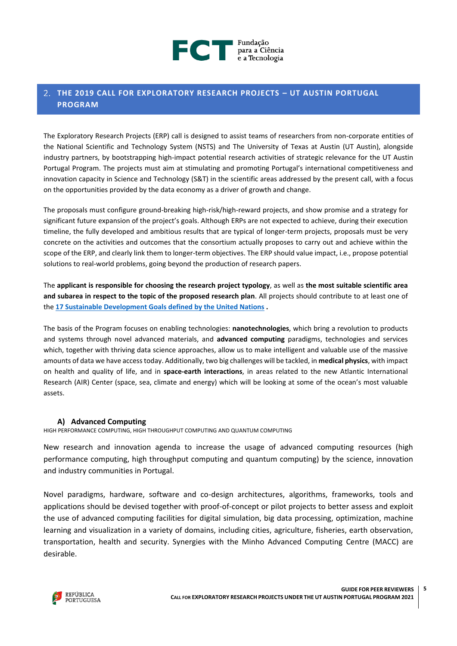

# <span id="page-4-0"></span>**THE 2019 CALL FOR EXPLORATORY RESEARCH PROJECTS – UT AUSTIN PORTUGAL PROGRAM**

The Exploratory Research Projects (ERP) call is designed to assist teams of researchers from non-corporate entities of the National Scientific and Technology System (NSTS) and The University of Texas at Austin (UT Austin), alongside industry partners, by bootstrapping high-impact potential research activities of strategic relevance for the UT Austin Portugal Program. The projects must aim at stimulating and promoting Portugal's international competitiveness and innovation capacity in Science and Technology (S&T) in the scientific areas addressed by the present call, with a focus on the opportunities provided by the data economy as a driver of growth and change.

The proposals must configure ground-breaking high-risk/high-reward projects, and show promise and a strategy for significant future expansion of the project's goals. Although ERPs are not expected to achieve, during their execution timeline, the fully developed and ambitious results that are typical of longer-term projects, proposals must be very concrete on the activities and outcomes that the consortium actually proposes to carry out and achieve within the scope of the ERP, and clearly link them to longer-term objectives. The ERP should value impact, i.e., propose potential solutions to real-world problems, going beyond the production of research papers.

The **applicant is responsible for choosing the research project typology**, as well as **the most suitable scientific area and subarea in respect to the topic of the proposed research plan**. All projects should contribute to at least one of the **[17 Sustainable Development Goals defined by the United Nations](https://www.un.org/ga/search/view_doc.asp?symbol=A/RES/70/1&Lang=E) .**

The basis of the Program focuses on enabling technologies: **nanotechnologies**, which bring a revolution to products and systems through novel advanced materials, and **advanced computing** paradigms, technologies and services which, together with thriving data science approaches, allow us to make intelligent and valuable use of the massive amounts of data we have access today. Additionally, two big challenges will be tackled, in **medical physics**, with impact on health and quality of life, and in **space-earth interactions**, in areas related to the new Atlantic International Research (AIR) Center (space, sea, climate and energy) which will be looking at some of the ocean's most valuable assets.

# **A) Advanced Computing**

HIGH PERFORMANCE COMPUTING, HIGH THROUGHPUT COMPUTING AND QUANTUM COMPUTING

New research and innovation agenda to increase the usage of advanced computing resources (high performance computing, high throughput computing and quantum computing) by the science, innovation and industry communities in Portugal.

Novel paradigms, hardware, software and co-design architectures, algorithms, frameworks, tools and applications should be devised together with proof-of-concept or pilot projects to better assess and exploit the use of advanced computing facilities for digital simulation, big data processing, optimization, machine learning and visualization in a variety of domains, including cities, agriculture, fisheries, earth observation, transportation, health and security. Synergies with the Minho Advanced Computing Centre (MACC) are desirable.

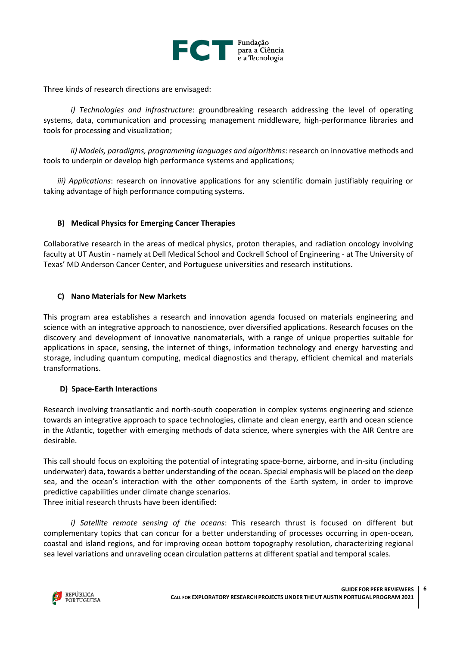

Three kinds of research directions are envisaged:

*i) Technologies and infrastructure*: groundbreaking research addressing the level of operating systems, data, communication and processing management middleware, high-performance libraries and tools for processing and visualization;

*ii) Models, paradigms, programming languages and algorithms*: research on innovative methods and tools to underpin or develop high performance systems and applications;

*iii) Applications*: research on innovative applications for any scientific domain justifiably requiring or taking advantage of high performance computing systems.

# **B) Medical Physics for Emerging Cancer Therapies**

Collaborative research in the areas of medical physics, proton therapies, and radiation oncology involving faculty at UT Austin - namely at Dell Medical School and Cockrell School of Engineering - at The University of Texas' MD Anderson Cancer Center, and Portuguese universities and research institutions.

# **C) Nano Materials for New Markets**

This program area establishes a research and innovation agenda focused on materials engineering and science with an integrative approach to nanoscience, over diversified applications. Research focuses on the discovery and development of innovative nanomaterials, with a range of unique properties suitable for applications in space, sensing, the internet of things, information technology and energy harvesting and storage, including quantum computing, medical diagnostics and therapy, efficient chemical and materials transformations.

# **D) Space-Earth Interactions**

Research involving transatlantic and north-south cooperation in complex systems engineering and science towards an integrative approach to space technologies, climate and clean energy, earth and ocean science in the Atlantic, together with emerging methods of data science, where synergies with the AIR Centre are desirable.

This call should focus on exploiting the potential of integrating space-borne, airborne, and in-situ (including underwater) data, towards a better understanding of the ocean. Special emphasis will be placed on the deep sea, and the ocean's interaction with the other components of the Earth system, in order to improve predictive capabilities under climate change scenarios.

Three initial research thrusts have been identified:

*i) Satellite remote sensing of the oceans*: This research thrust is focused on different but complementary topics that can concur for a better understanding of processes occurring in open-ocean, coastal and island regions, and for improving ocean bottom topography resolution, characterizing regional sea level variations and unraveling ocean circulation patterns at different spatial and temporal scales.

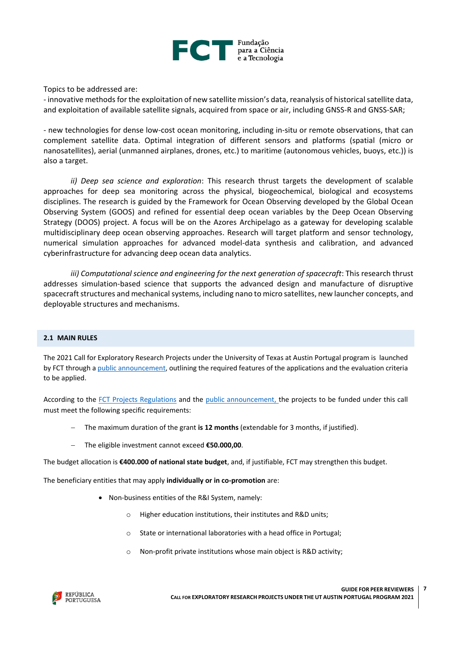

Topics to be addressed are:

- innovative methods for the exploitation of new satellite mission's data, reanalysis of historical satellite data, and exploitation of available satellite signals, acquired from space or air, including GNSS-R and GNSS-SAR;

- new technologies for dense low-cost ocean monitoring, including in-situ or remote observations, that can complement satellite data. Optimal integration of different sensors and platforms (spatial (micro or nanosatellites), aerial (unmanned airplanes, drones, etc.) to maritime (autonomous vehicles, buoys, etc.)) is also a target.

*ii) Deep sea science and exploration*: This research thrust targets the development of scalable approaches for deep sea monitoring across the physical, biogeochemical, biological and ecosystems disciplines. The research is guided by the Framework for Ocean Observing developed by the Global Ocean Observing System (GOOS) and refined for essential deep ocean variables by the Deep Ocean Observing Strategy (DOOS) project. A focus will be on the Azores Archipelago as a gateway for developing scalable multidisciplinary deep ocean observing approaches. Research will target platform and sensor technology, numerical simulation approaches for advanced model-data synthesis and calibration, and advanced cyberinfrastructure for advancing deep ocean data analytics.

*iii) Computational science and engineering for the next generation of spacecraft*: This research thrust addresses simulation-based science that supports the advanced design and manufacture of disruptive spacecraft structures and mechanical systems, including nano to micro satellites, new launcher concepts, and deployable structures and mechanisms.

#### <span id="page-6-0"></span>**2.1 MAIN RULES**

The 2021 Call for Exploratory Research Projects under the University of Texas at Austin Portugal program is launched by FCT through [a public announcement,](https://www.fct.pt/apoios/projectos/concursos/utaustin/2021/UTAustin2021_AvisoAbertura_EN.pdf) outlining the required features of the applications and the evaluation criteria to be applied.

According to the [FCT Projects Regulations](https://www.fct.pt/apoios/projectos/regulamentofundosnacionais.phtml.en) and the [public announcement,](https://www.fct.pt/apoios/projectos/concursos/utaustin/2021/UTAustin2021_AvisoAbertura_EN.pdf) the projects to be funded under this call must meet the following specific requirements:

- − The maximum duration of the grant **is 12 months** (extendable for 3 months, if justified).
- − The eligible investment cannot exceed **€50.000,00**.

The budget allocation is **€400.000 of national state budget**, and, if justifiable, FCT may strengthen this budget.

The beneficiary entities that may apply **individually or in co-promotion** are:

- Non-business entities of the R&I System, namely:
	- o Higher education institutions, their institutes and R&D units;
	- o State or international laboratories with a head office in Portugal;
	- o Non-profit private institutions whose main object is R&D activity;

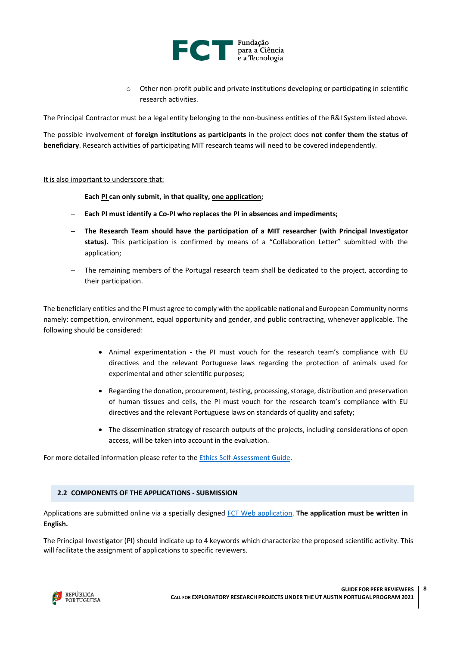

o Other non-profit public and private institutions developing or participating in scientific research activities.

The Principal Contractor must be a legal entity belonging to the non-business entities of the R&I System listed above.

The possible involvement of **foreign institutions as participants** in the project does **not confer them the status of beneficiary**. Research activities of participating MIT research teams will need to be covered independently.

#### It is also important to underscore that:

- − **Each PI can only submit, in that quality, one application;**
- − **Each PI must identify a Co-PI who replaces the PI in absences and impediments;**
- − **The Research Team should have the participation of a MIT researcher (with [Principal Investigator](https://couhes.mit.edu/policies-procedures/principal-investigator-status)  [status\)](https://couhes.mit.edu/policies-procedures/principal-investigator-status).** This participation is confirmed by means of a "Collaboration Letter" submitted with the application;
- The remaining members of the Portugal research team shall be dedicated to the project, according to their participation.

The beneficiary entities and the PI must agree to comply with the applicable national and European Community norms namely: competition, environment, equal opportunity and gender, and public contracting, whenever applicable. The following should be considered:

- Animal experimentation the PI must vouch for the research team's compliance with EU directives and the relevant Portuguese laws regarding the protection of animals used for experimental and other scientific purposes;
- Regarding the donation, procurement, testing, processing, storage, distribution and preservation of human tissues and cells, the PI must vouch for the research team's compliance with EU directives and the relevant Portuguese laws on standards of quality and safety;
- The dissemination strategy of research outputs of the projects, including considerations of open access, will be taken into account in the evaluation.

For more detailed information please refer to th[e Ethics Self-Assessment Guide.](https://www.fct.pt/apoios/projectos/concursos/ICDT/docs/ICDT_Ethics_Self_Assessment_Guide.pdf)

#### <span id="page-7-0"></span>**2.2 COMPONENTS OF THE APPLICATIONS - SUBMISSION**

Applications are submitted online via a specially designed [FCT Web application.](https://concursos.fct.pt/projectos/) **The application must be written in English.** 

The Principal Investigator (PI) should indicate up to 4 keywords which characterize the proposed scientific activity. This will facilitate the assignment of applications to specific reviewers.

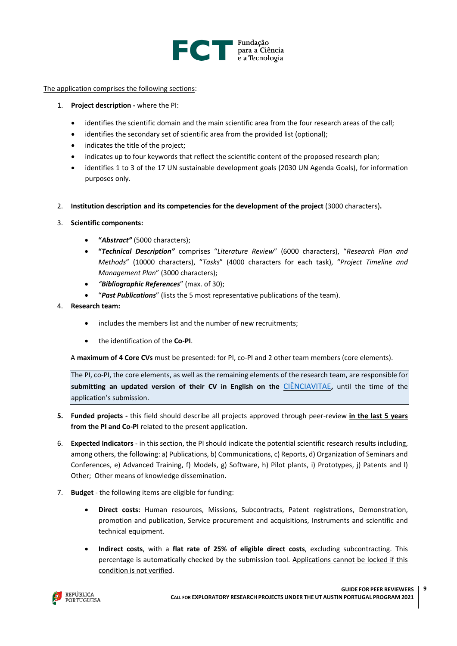

The application comprises the following sections:

- 1. **Project description -** where the PI:
	- identifies the scientific domain and the main scientific area from the four research areas of the call:
	- identifies the secondary set of scientific area from the provided list (optional):
	- indicates the title of the project;
	- indicates up to four keywords that reflect the scientific content of the proposed research plan;
	- identifies 1 to 3 of the 17 UN sustainable development goals (2030 UN Agenda Goals), for information purposes only.
- 2. **Institution description and its competencies for the development of the project** (3000 characters)**.**
- 3. **Scientific components:** 
	- **"***Abstract"* (5000 characters);
	- **"***Technical Description"* comprises "*Literature Review*" (6000 characters), "*Research Plan and Methods*" (10000 characters), "*Tasks*" (4000 characters for each task), "*Project Timeline and Management Plan*" (3000 characters);
	- *"Bibliographic References*" (max. of 30);
	- "*Past Publications*" (lists the 5 most representative publications of the team).
- 4. **Research team:**
	- includes the members list and the number of new recruitments;
	- the identification of the **Co-PI**.

A **maximum of 4 Core CVs** must be presented: for PI, co-PI and 2 other team members (core elements).

The PI, co-PI, the core elements, as well as the remaining elements of the research team, are responsible for **submitting an updated version of their CV in English on the** [CIÊNCIAVITAE](https://cienciavitae.pt/)**,** until the time of the application's submission.

- **5. Funded projects -** this field should describe all projects approved through peer-review **in the last 5 years from the PI and Co-PI** related to the present application.
- 6. **Expected Indicators** in this section, the PI should indicate the potential scientific research results including, among others, the following: a) Publications, b) Communications, c) Reports, d) Organization of Seminars and Conferences, e) Advanced Training, f) Models, g) Software, h) Pilot plants, i) Prototypes, j) Patents and l) Other; Other means of knowledge dissemination.
- 7. **Budget** the following items are eligible for funding:
	- **Direct costs:** Human resources, Missions, Subcontracts, Patent registrations, Demonstration, promotion and publication, Service procurement and acquisitions, Instruments and scientific and technical equipment.
	- **Indirect costs**, with a **flat rate of 25% of eligible direct costs**, excluding subcontracting. This percentage is automatically checked by the submission tool. Applications cannot be locked if this condition is not verified.

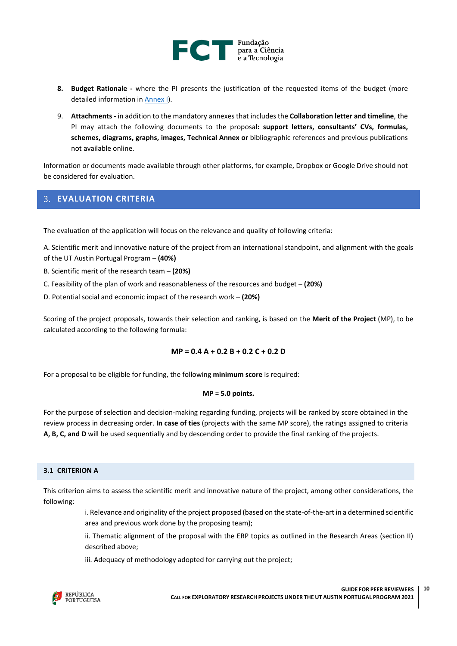

- **8. Budget Rationale -** where the PI presents the justification of the requested items of the budget (more detailed information in [Annex I\)](#page-22-0).
- 9. **Attachments -** in addition to the mandatory annexes that includes the **Collaboration letter and timeline**, the PI may attach the following documents to the proposal**: support letters, consultants' CVs, formulas, schemes, diagrams, graphs, images, Technical Annex or** bibliographic references and previous publications not available online.

Information or documents made available through other platforms, for example, Dropbox or Google Drive should not be considered for evaluation.

# <span id="page-9-0"></span>**EVALUATION CRITERIA**

The evaluation of the application will focus on the relevance and quality of following criteria:

A. Scientific merit and innovative nature of the project from an international standpoint, and alignment with the goals of the UT Austin Portugal Program – **(40%)**

- B. Scientific merit of the research team **(20%)**
- C. Feasibility of the plan of work and reasonableness of the resources and budget **(20%)**
- D. Potential social and economic impact of the research work **(20%)**

Scoring of the project proposals, towards their selection and ranking, is based on the **Merit of the Project** (MP), to be calculated according to the following formula:

#### **MP = 0.4 A + 0.2 B + 0.2 C + 0.2 D**

For a proposal to be eligible for funding, the following **minimum score** is required:

#### **MP = 5.0 points.**

For the purpose of selection and decision-making regarding funding, projects will be ranked by score obtained in the review process in decreasing order. **In case of ties** (projects with the same MP score), the ratings assigned to criteria **A, B, C, and D** will be used sequentially and by descending order to provide the final ranking of the projects.

#### <span id="page-9-1"></span>**3.1 CRITERION A**

This criterion aims to assess the scientific merit and innovative nature of the project, among other considerations, the following:

> i. Relevance and originality of the project proposed (based on the state-of-the-art in a determined scientific area and previous work done by the proposing team);

> ii. Thematic alignment of the proposal with the ERP topics as outlined in the Research Areas (section II) described above;

iii. Adequacy of methodology adopted for carrying out the project;

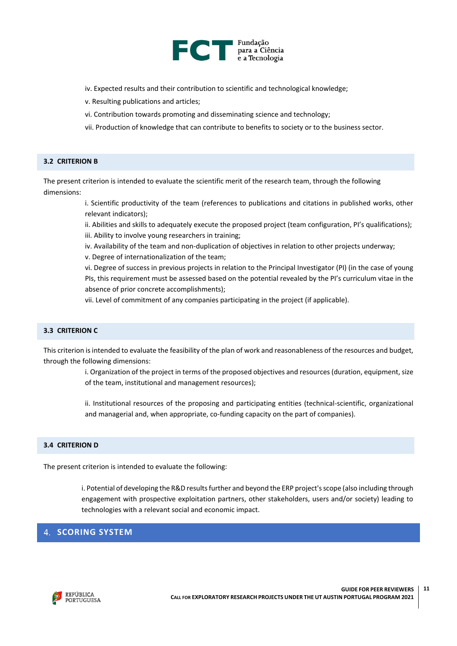

- iv. Expected results and their contribution to scientific and technological knowledge;
- v. Resulting publications and articles;
- vi. Contribution towards promoting and disseminating science and technology;
- vii. Production of knowledge that can contribute to benefits to society or to the business sector.

#### <span id="page-10-0"></span>**3.2 CRITERION B**

The present criterion is intended to evaluate the scientific merit of the research team, through the following dimensions:

> i. Scientific productivity of the team (references to publications and citations in published works, other relevant indicators);

> ii. Abilities and skills to adequately execute the proposed project (team configuration, PI's qualifications); iii. Ability to involve young researchers in training;

iv. Availability of the team and non-duplication of objectives in relation to other projects underway;

v. Degree of internationalization of the team;

vi. Degree of success in previous projects in relation to the Principal Investigator (PI) (in the case of young PIs, this requirement must be assessed based on the potential revealed by the PI's curriculum vitae in the absence of prior concrete accomplishments);

vii. Level of commitment of any companies participating in the project (if applicable).

#### <span id="page-10-1"></span>**3.3 CRITERION C**

This criterion is intended to evaluate the feasibility of the plan of work and reasonableness of the resources and budget, through the following dimensions:

> i. Organization of the project in terms of the proposed objectives and resources (duration, equipment, size of the team, institutional and management resources);

> ii. Institutional resources of the proposing and participating entities (technical-scientific, organizational and managerial and, when appropriate, co-funding capacity on the part of companies).

#### <span id="page-10-2"></span>**3.4 CRITERION D**

<span id="page-10-3"></span>The present criterion is intended to evaluate the following:

i. Potential of developing the R&D results further and beyond the ERP project's scope (also including through engagement with prospective exploitation partners, other stakeholders, users and/or society) leading to technologies with a relevant social and economic impact.

# <span id="page-10-4"></span>**4. SCORING SYSTEM**

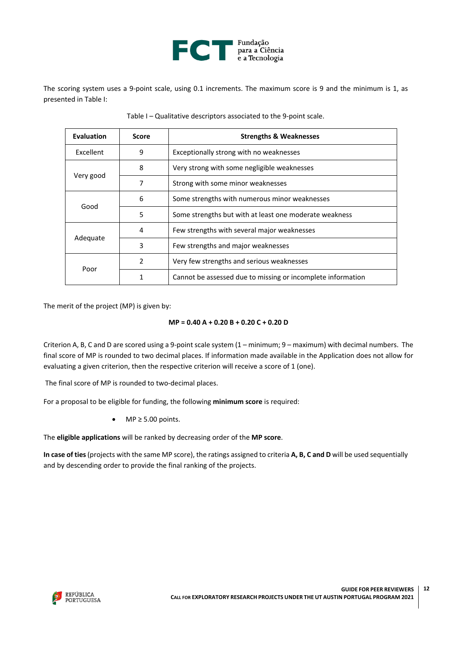

The scoring system uses a 9-point scale, using 0.1 increments. The maximum score is 9 and the minimum is 1, as presented in Table I:

| <b>Evaluation</b> | <b>Score</b>  | <b>Strengths &amp; Weaknesses</b>                           |
|-------------------|---------------|-------------------------------------------------------------|
| Excellent         | 9             | Exceptionally strong with no weaknesses                     |
|                   | 8             | Very strong with some negligible weaknesses                 |
| Very good         | 7             | Strong with some minor weaknesses                           |
|                   | 6             | Some strengths with numerous minor weaknesses               |
| Good              | 5             | Some strengths but with at least one moderate weakness      |
|                   | 4             | Few strengths with several major weaknesses                 |
| Adequate          | 3             | Few strengths and major weaknesses                          |
|                   | $\mathcal{P}$ | Very few strengths and serious weaknesses                   |
| Poor              |               | Cannot be assessed due to missing or incomplete information |

Table I – Qualitative descriptors associated to the 9-point scale.

The merit of the project (MP) is given by:

## **MP = 0.40 A + 0.20 B + 0.20 C + 0.20 D**

Criterion A, B, C and D are scored using a 9-point scale system (1 – minimum; 9 – maximum) with decimal numbers. The final score of MP is rounded to two decimal places. If information made available in the Application does not allow for evaluating a given criterion, then the respective criterion will receive a score of 1 (one).

The final score of MP is rounded to two-decimal places.

For a proposal to be eligible for funding, the following **minimum score** is required:

• MP ≥ 5.00 points.

The **eligible applications** will be ranked by decreasing order of the **MP score**.

**In case of ties**(projects with the same MP score), the ratings assigned to criteria **A, B, C and D** will be used sequentially and by descending order to provide the final ranking of the projects.

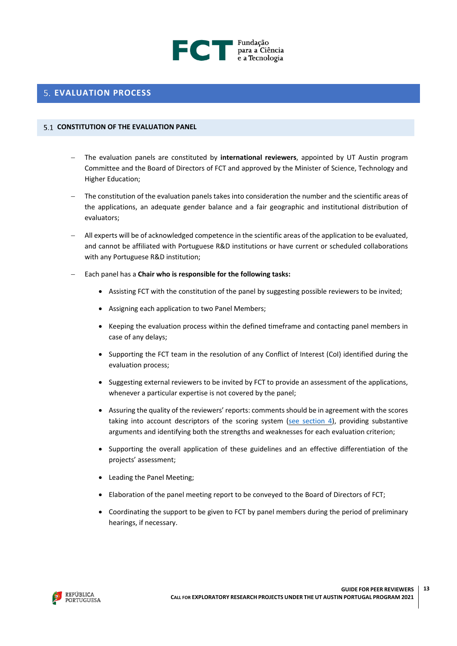

# <span id="page-12-0"></span>**EVALUATION PROCESS**

#### <span id="page-12-1"></span>**CONSTITUTION OF THE EVALUATION PANEL**

- − The evaluation panels are constituted by **international reviewers**, appointed by UT Austin program Committee and the Board of Directors of FCT and approved by the Minister of Science, Technology and Higher Education;
- The constitution of the evaluation panels takes into consideration the number and the scientific areas of the applications, an adequate gender balance and a fair geographic and institutional distribution of evaluators;
- − All experts will be of acknowledged competence in the scientific areas of the application to be evaluated, and cannot be affiliated with Portuguese R&D institutions or have current or scheduled collaborations with any Portuguese R&D institution;
- − Each panel has a **Chair who is responsible for the following tasks:**
	- Assisting FCT with the constitution of the panel by suggesting possible reviewers to be invited;
	- Assigning each application to two Panel Members;
	- Keeping the evaluation process within the defined timeframe and contacting panel members in case of any delays;
	- Supporting the FCT team in the resolution of any Conflict of Interest (CoI) identified during the evaluation process;
	- Suggesting external reviewers to be invited by FCT to provide an assessment of the applications, whenever a particular expertise is not covered by the panel;
	- Assuring the quality of the reviewers' reports: comments should be in agreement with the scores taking into account descriptors of the scoring system (see [section](#page-10-4)  $4$ ), providing substantive arguments and identifying both the strengths and weaknesses for each evaluation criterion;
	- Supporting the overall application of these guidelines and an effective differentiation of the projects' assessment;
	- Leading the Panel Meeting;
	- Elaboration of the panel meeting report to be conveyed to the Board of Directors of FCT;
	- Coordinating the support to be given to FCT by panel members during the period of preliminary hearings, if necessary.

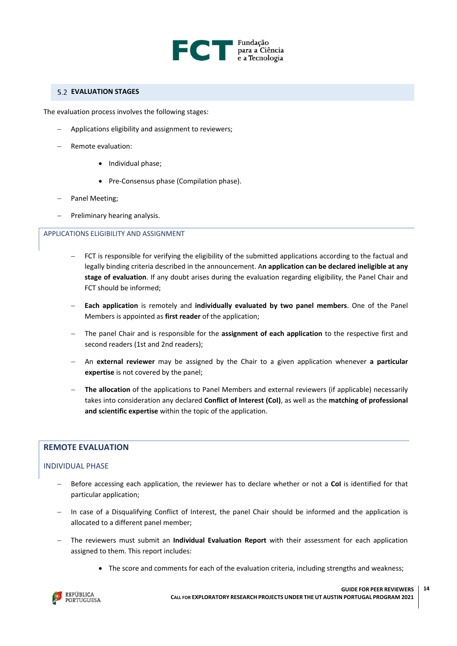

## <span id="page-13-0"></span>**EVALUATION STAGES**

The evaluation process involves the following stages:

- Applications eligibility and assignment to reviewers;
- − Remote evaluation:
	- Individual phase;
	- Pre-Consensus phase (Compilation phase).
- − Panel Meeting;
- − Preliminary hearing analysis.

#### <span id="page-13-1"></span>APPLICATIONS ELIGIBILITY AND ASSIGNMENT

- FCT is responsible for verifying the eligibility of the submitted applications according to the factual and legally binding criteria described in the announcement. A**n application can be declared ineligible at any stage of evaluation**. If any doubt arises during the evaluation regarding eligibility, the Panel Chair and FCT should be informed;
- − **Each application** is remotely and **individually evaluated by two panel members**. One of the Panel Members is appointed as **first reader** of the application;
- − The panel Chair and is responsible for the **assignment of each application** to the respective first and second readers (1st and 2nd readers);
- − An **external reviewer** may be assigned by the Chair to a given application whenever **a particular expertise** is not covered by the panel;
- − **The allocation** of the applications to Panel Members and external reviewers (if applicable) necessarily takes into consideration any declared **Conflict of Interest (CoI)**, as well as the **matching of professional and scientific expertise** within the topic of the application.

# <span id="page-13-2"></span>**REMOTE EVALUATION**

# <span id="page-13-3"></span>INDIVIDUAL PHASE

- − Before accessing each application, the reviewer has to declare whether or not a **CoI** is identified for that particular application;
- − In case of a Disqualifying Conflict of Interest, the panel Chair should be informed and the application is allocated to a different panel member;
- − The reviewers must submit an **Individual Evaluation Report** with their assessment for each application assigned to them. This report includes:
	- The score and comments for each of the evaluation criteria, including strengths and weakness;

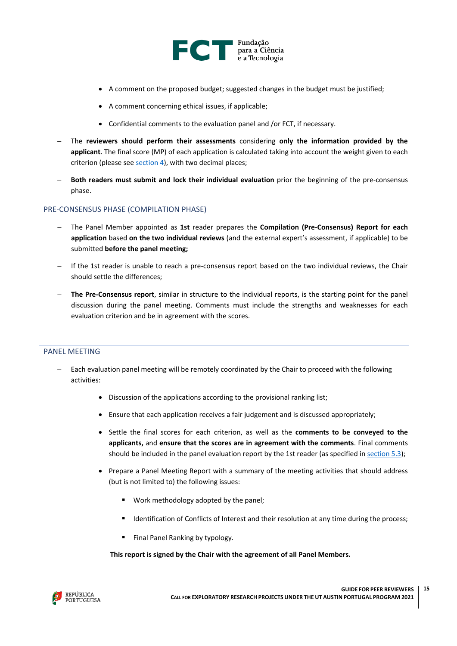

- A comment on the proposed budget; suggested changes in the budget must be justified;
- A comment concerning ethical issues, if applicable;
- Confidential comments to the evaluation panel and /or FCT, if necessary.
- − The **reviewers should perform their assessments** considering **only the information provided by the applicant**. The final score (MP) of each application is calculated taking into account the weight given to each criterion (please see [section 4\)](#page-10-4), with two decimal places;
- − **Both readers must submit and lock their individual evaluation** prior the beginning of the pre-consensus phase.

## <span id="page-14-0"></span>PRE-CONSENSUS PHASE (COMPILATION PHASE)

- − The Panel Member appointed as **1st** reader prepares the **Compilation (Pre-Consensus) Report for each application** based **on the two individual reviews** (and the external expert's assessment, if applicable) to be submitted **before the panel meeting;**
- − If the 1st reader is unable to reach a pre-consensus report based on the two individual reviews, the Chair should settle the differences;
- − **The Pre-Consensus report**, similar in structure to the individual reports, is the starting point for the panel discussion during the panel meeting. Comments must include the strengths and weaknesses for each evaluation criterion and be in agreement with the scores.

#### <span id="page-14-1"></span>PANEL MEETING

- Each evaluation panel meeting will be remotely coordinated by the Chair to proceed with the following activities:
	- Discussion of the applications according to the provisional ranking list;
	- Ensure that each application receives a fair judgement and is discussed appropriately;
	- Settle the final scores for each criterion, as well as the **comments to be conveyed to the applicants,** and **ensure that the scores are in agreement with the comments**. Final comments should be included in the panel evaluation report by the 1st reader (as specified i[n section 5.3\)](#page-15-0);
	- Prepare a Panel Meeting Report with a summary of the meeting activities that should address (but is not limited to) the following issues:
		- Work methodology adopted by the panel;
		- Identification of Conflicts of Interest and their resolution at any time during the process;
		- Final Panel Ranking by typology.

 **This report is signed by the Chair with the agreement of all Panel Members.**

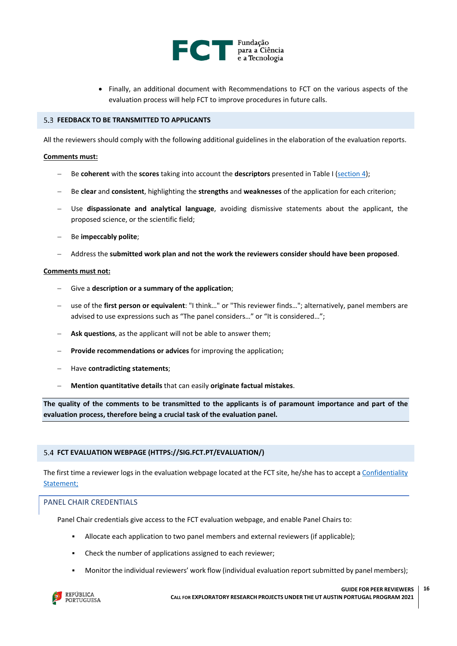

• Finally, an additional document with Recommendations to FCT on the various aspects of the evaluation process will help FCT to improve procedures in future calls.

## <span id="page-15-0"></span>**FEEDBACK TO BE TRANSMITTED TO APPLICANTS**

All the reviewers should comply with the following additional guidelines in the elaboration of the evaluation reports.

#### **Comments must:**

- − Be **coherent** with the **scores** taking into account the **descriptors** presented in Table I [\(section 4\)](#page-10-4);
- − Be **clear** and **consistent**, highlighting the **strengths** and **weaknesses** of the application for each criterion;
- − Use **dispassionate and analytical language**, avoiding dismissive statements about the applicant, the proposed science, or the scientific field;
- − Be **impeccably polite**;
- − Address the **submitted work plan and not the work the reviewers consider should have been proposed**.

#### **Comments must not:**

- − Give a **description or a summary of the application**;
- − use of the **first person or equivalent**: "I think…" or "This reviewer finds…"; alternatively, panel members are advised to use expressions such as "The panel considers…" or "It is considered…";
- **Ask questions**, as the applicant will not be able to answer them;
- Provide recommendations or advices for improving the application;
- − Have **contradicting statements**;
- − **Mention quantitative details** that can easily **originate factual mistakes**.

The quality of the comments to be transmitted to the applicants is of paramount importance and part of the **evaluation process, therefore being a crucial task of the evaluation panel.**

#### <span id="page-15-1"></span>**FCT EVALUATION WEBPAGE [\(HTTPS://SIG.FCT.PT/EVALUATION/\)](https://sig.fct.pt/evaluation/)**

The first time a reviewer logs in the evaluation webpage located at the FCT site, he/she has to accept a [Confidentiality](#page-17-4)  [Statement;](#page-17-4)

#### <span id="page-15-2"></span>PANEL CHAIR CREDENTIALS

Panel Chair credentials give access to the FCT evaluation webpage, and enable Panel Chairs to:

- Allocate each application to two panel members and external reviewers (if applicable);
- Check the number of applications assigned to each reviewer:
- Monitor the individual reviewers' work flow (individual evaluation report submitted by panel members);

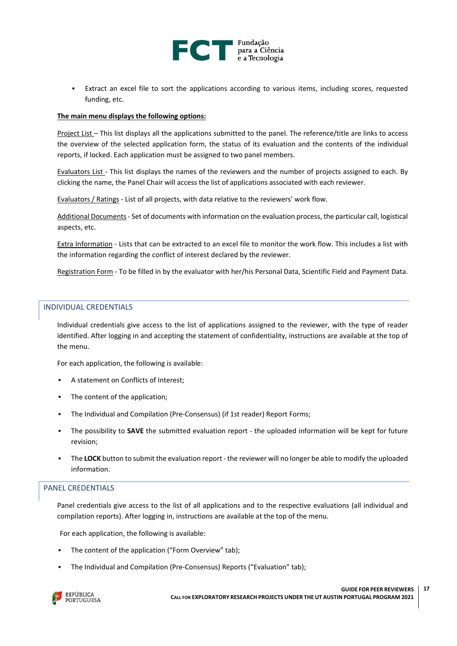

Extract an excel file to sort the applications according to various items, including scores, requested funding, etc.

#### **The main menu displays the following options:**

Project List – This list displays all the applications submitted to the panel. The reference/title are links to access the overview of the selected application form, the status of its evaluation and the contents of the individual reports, if locked. Each application must be assigned to two panel members.

Evaluators List - This list displays the names of the reviewers and the number of projects assigned to each. By clicking the name, the Panel Chair will access the list of applications associated with each reviewer.

Evaluators / Ratings - List of all projects, with data relative to the reviewers' work flow.

Additional Documents- Set of documents with information on the evaluation process, the particular call, logistical aspects, etc.

Extra Information - Lists that can be extracted to an excel file to monitor the work flow. This includes a list with the information regarding the conflict of interest declared by the reviewer.

Registration Form - To be filled in by the evaluator with her/his Personal Data, Scientific Field and Payment Data.

## <span id="page-16-0"></span>INDIVIDUAL CREDENTIALS

Individual credentials give access to the list of applications assigned to the reviewer, with the type of reader identified. After logging in and accepting the statement of confidentiality, instructions are available at the top of the menu.

For each application, the following is available:

- A statement on Conflicts of Interest;
- The content of the application;
- The Individual and Compilation (Pre-Consensus) (if 1st reader) Report Forms;
- The possibility to **SAVE** the submitted evaluation report the uploaded information will be kept for future revision;
- The LOCK button to submit the evaluation report the reviewer will no longer be able to modify the uploaded information.

## <span id="page-16-1"></span>PANEL CREDENTIALS

Panel credentials give access to the list of all applications and to the respective evaluations (all individual and compilation reports). After logging in, instructions are available at the top of the menu.

For each application, the following is available:

- The content of the application ("Form Overview" tab);
- The Individual and Compilation (Pre-Consensus) Reports ("Evaluation" tab);

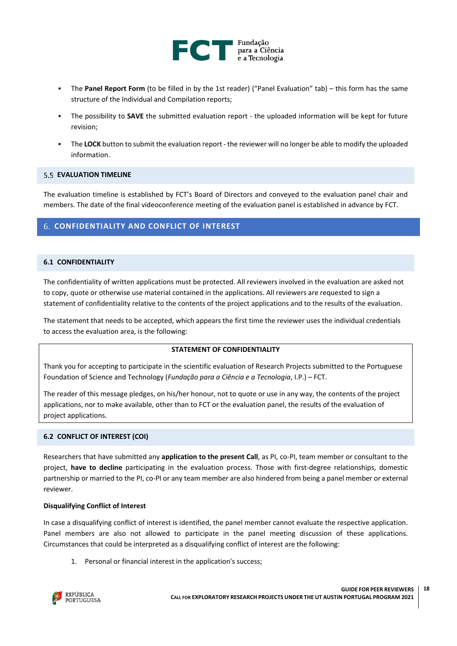

- The **Panel Report Form** (to be filled in by the 1st reader) ("Panel Evaluation" tab) this form has the same structure of the Individual and Compilation reports;
- The possibility to **SAVE** the submitted evaluation report the uploaded information will be kept for future revision;
- The LOCK button to submit the evaluation report the reviewer will no longer be able to modify the uploaded information.

#### <span id="page-17-0"></span>**EXALUATION TIMELINE**

The evaluation timeline is established by FCT's Board of Directors and conveyed to the evaluation panel chair and members. The date of the final videoconference meeting of the evaluation panel is established in advance by FCT.

## <span id="page-17-1"></span>**CONFIDENTIALITY AND CONFLICT OF INTEREST**

#### <span id="page-17-2"></span>**6.1 CONFIDENTIALITY**

The confidentiality of written applications must be protected. All reviewers involved in the evaluation are asked not to copy, quote or otherwise use material contained in the applications. All reviewers are requested to sign a statement of confidentiality relative to the contents of the project applications and to the results of the evaluation.

The statement that needs to be accepted, which appears the first time the reviewer uses the individual credentials to access the evaluation area, is the following:

#### **STATEMENT OF CONFIDENTIALITY**

<span id="page-17-4"></span>Thank you for accepting to participate in the scientific evaluation of Research Projects submitted to the Portuguese Foundation of Science and Technology (*Fundação para a Ciência e a Tecnologia*, I.P.) – FCT.

The reader of this message pledges, on his/her honour, not to quote or use in any way, the contents of the project applications, nor to make available, other than to FCT or the evaluation panel, the results of the evaluation of project applications.

#### <span id="page-17-3"></span>**6.2 CONFLICT OF INTEREST (COI)**

Researchers that have submitted any **application to the present Call**, as PI, co-PI, team member or consultant to the project, **have to decline** participating in the evaluation process. Those with first-degree relationships, domestic partnership or married to the PI, co-PI or any team member are also hindered from being a panel member or external reviewer.

#### **Disqualifying Conflict of Interest**

In case a disqualifying conflict of interest is identified, the panel member cannot evaluate the respective application. Panel members are also not allowed to participate in the panel meeting discussion of these applications. Circumstances that could be interpreted as a disqualifying conflict of interest are the following:

1. Personal or financial interest in the application's success;

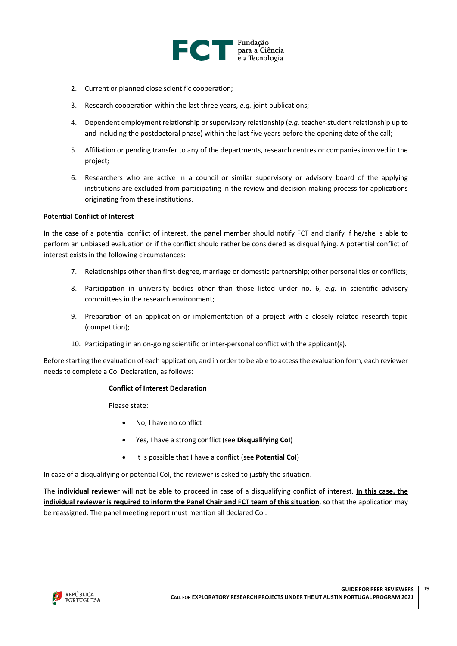

- 2. Current or planned close scientific cooperation;
- 3. Research cooperation within the last three years, *e.g.* joint publications;
- 4. Dependent employment relationship or supervisory relationship (*e.g.* teacher-student relationship up to and including the postdoctoral phase) within the last five years before the opening date of the call;
- 5. Affiliation or pending transfer to any of the departments, research centres or companies involved in the project;
- 6. Researchers who are active in a council or similar supervisory or advisory board of the applying institutions are excluded from participating in the review and decision-making process for applications originating from these institutions.

#### **Potential Conflict of Interest**

In the case of a potential conflict of interest, the panel member should notify FCT and clarify if he/she is able to perform an unbiased evaluation or if the conflict should rather be considered as disqualifying. A potential conflict of interest exists in the following circumstances:

- 7. Relationships other than first-degree, marriage or domestic partnership; other personal ties or conflicts;
- 8. Participation in university bodies other than those listed under no. 6, *e.g.* in scientific advisory committees in the research environment;
- 9. Preparation of an application or implementation of a project with a closely related research topic (competition);
- 10. Participating in an on-going scientific or inter-personal conflict with the applicant(s).

Before starting the evaluation of each application, and in order to be able to accessthe evaluation form, each reviewer needs to complete a CoI Declaration, as follows:

#### **Conflict of Interest Declaration**

Please state:

- No, I have no conflict
- Yes, I have a strong conflict (see **Disqualifying CoI**)
- It is possible that I have a conflict (see **Potential CoI**)

In case of a disqualifying or potential CoI, the reviewer is asked to justify the situation.

The **individual reviewer** will not be able to proceed in case of a disqualifying conflict of interest. **In this case, the individual reviewer is required to inform the Panel Chair and FCT team of this situation**, so that the application may be reassigned. The panel meeting report must mention all declared CoI.

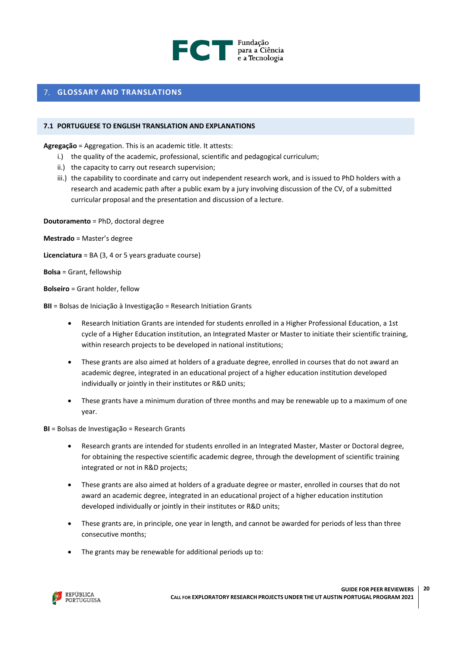

# <span id="page-19-0"></span>**GLOSSARY AND TRANSLATIONS**

#### <span id="page-19-1"></span>**7.1 PORTUGUESE TO ENGLISH TRANSLATION AND EXPLANATIONS**

**Agregação** = Aggregation. This is an academic title. It attests:

- i.) the quality of the academic, professional, scientific and pedagogical curriculum;
- ii.) the capacity to carry out research supervision;
- iii.) the capability to coordinate and carry out independent research work, and is issued to PhD holders with a research and academic path after a public exam by a jury involving discussion of the CV, of a submitted curricular proposal and the presentation and discussion of a lecture.

**Doutoramento** = PhD, doctoral degree

**Mestrado** = Master's degree

**Licenciatura** = BA (3, 4 or 5 years graduate course)

**Bolsa** = Grant, fellowship

**Bolseiro** = Grant holder, fellow

**BII** = Bolsas de Iniciação à Investigação = Research Initiation Grants

- Research Initiation Grants are intended for students enrolled in a Higher Professional Education, a 1st cycle of a Higher Education institution, an Integrated Master or Master to initiate their scientific training, within research projects to be developed in national institutions;
- These grants are also aimed at holders of a graduate degree, enrolled in courses that do not award an academic degree, integrated in an educational project of a higher education institution developed individually or jointly in their institutes or R&D units;
- These grants have a minimum duration of three months and may be renewable up to a maximum of one year.

**BI** = Bolsas de Investigação = Research Grants

- Research grants are intended for students enrolled in an Integrated Master, Master or Doctoral degree, for obtaining the respective scientific academic degree, through the development of scientific training integrated or not in R&D projects;
- These grants are also aimed at holders of a graduate degree or master, enrolled in courses that do not award an academic degree, integrated in an educational project of a higher education institution developed individually or jointly in their institutes or R&D units;
- These grants are, in principle, one year in length, and cannot be awarded for periods of less than three consecutive months;
- The grants may be renewable for additional periods up to:

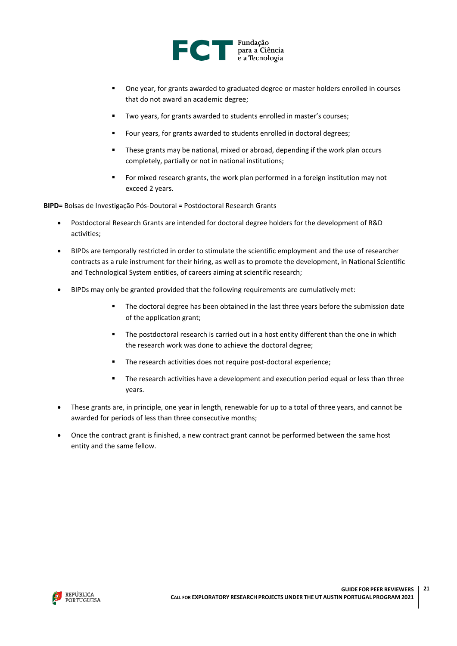

- One year, for grants awarded to graduated degree or master holders enrolled in courses that do not award an academic degree;
- Two years, for grants awarded to students enrolled in master's courses;
- Four years, for grants awarded to students enrolled in doctoral degrees;
- These grants may be national, mixed or abroad, depending if the work plan occurs completely, partially or not in national institutions;
- For mixed research grants, the work plan performed in a foreign institution may not exceed 2 years.

**BIPD**= Bolsas de Investigação Pós-Doutoral = Postdoctoral Research Grants

- Postdoctoral Research Grants are intended for doctoral degree holders for the development of R&D activities;
- BIPDs are temporally restricted in order to stimulate the scientific employment and the use of researcher contracts as a rule instrument for their hiring, as well as to promote the development, in National Scientific and Technological System entities, of careers aiming at scientific research;
- BIPDs may only be granted provided that the following requirements are cumulatively met:
	- **■** The doctoral degree has been obtained in the last three years before the submission date of the application grant;
	- **■** The postdoctoral research is carried out in a host entity different than the one in which the research work was done to achieve the doctoral degree;
	- The research activities does not require post-doctoral experience;
	- **■** The research activities have a development and execution period equal or less than three years.
- These grants are, in principle, one year in length, renewable for up to a total of three years, and cannot be awarded for periods of less than three consecutive months;
- Once the contract grant is finished, a new contract grant cannot be performed between the same host entity and the same fellow.

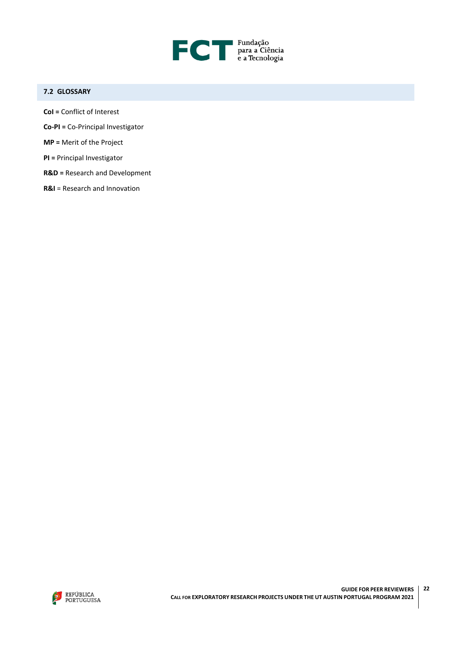

# <span id="page-21-0"></span>**7.2 GLOSSARY**

- **CoI =** Conflict of Interest
- **Co-PI =** Co-Principal Investigator
- **MP =** Merit of the Project
- **PI =** Principal Investigator
- **R&D =** Research and Development
- **R&I** = Research and Innovation

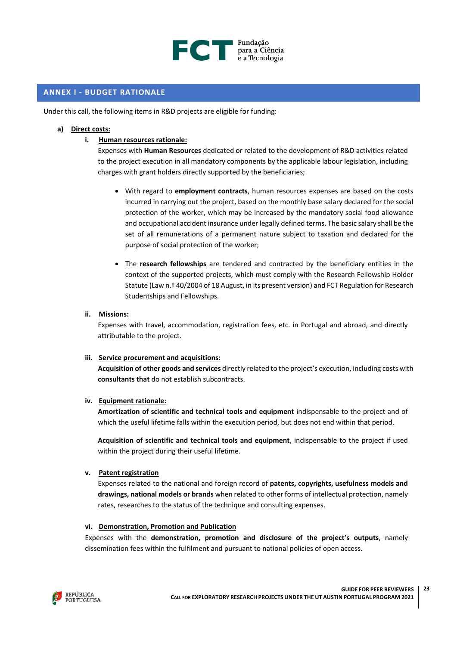

# <span id="page-22-0"></span>**ANNEX I - BUDGET RATIONALE**

Under this call, the following items in R&D projects are eligible for funding:

#### **a) Direct costs:**

#### **i. Human resources rationale:**

Expenses with **Human Resources** dedicated or related to the development of R&D activities related to the project execution in all mandatory components by the applicable labour legislation, including charges with grant holders directly supported by the beneficiaries;

- With regard to **employment contracts**, human resources expenses are based on the costs incurred in carrying out the project, based on the monthly base salary declared for the social protection of the worker, which may be increased by the mandatory social food allowance and occupational accident insurance under legally defined terms. The basic salary shall be the set of all remunerations of a permanent nature subject to taxation and declared for the purpose of social protection of the worker;
- The **research fellowships** are tendered and contracted by the beneficiary entities in the context of the supported projects, which must comply with the Research Fellowship Holder Statute (Law n.º 40/2004 of 18 August, in its present version) and FCT Regulation for Research Studentships and Fellowships.

#### **ii. Missions:**

Expenses with travel, accommodation, registration fees, etc. in Portugal and abroad, and directly attributable to the project.

#### **iii. Service procurement and acquisitions:**

**Acquisition of other goods and services** directly related to the project's execution, including costs with **consultants that** do not establish subcontracts.

#### **iv. Equipment rationale:**

**Amortization of scientific and technical tools and equipment** indispensable to the project and of which the useful lifetime falls within the execution period, but does not end within that period.

**Acquisition of scientific and technical tools and equipment**, indispensable to the project if used within the project during their useful lifetime.

#### **v. Patent registration**

Expenses related to the national and foreign record of **patents, copyrights, usefulness models and drawings, national models or brands** when related to other forms of intellectual protection, namely rates, researches to the status of the technique and consulting expenses.

#### **vi. Demonstration, Promotion and Publication**

Expenses with the **demonstration, promotion and disclosure of the project's outputs**, namely dissemination fees within the fulfilment and pursuant to national policies of open access.